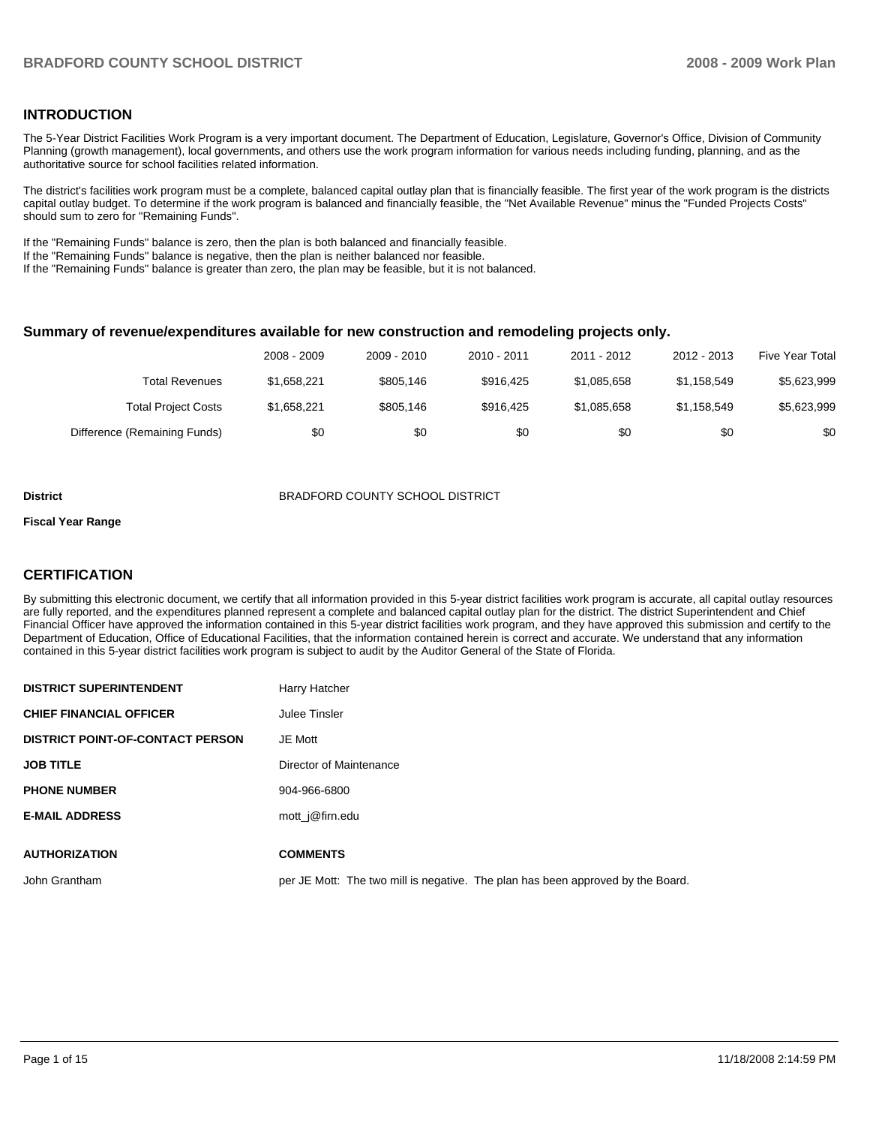### **INTRODUCTION**

The 5-Year District Facilities Work Program is a very important document. The Department of Education, Legislature, Governor's Office, Division of Community Planning (growth management), local governments, and others use the work program information for various needs including funding, planning, and as the authoritative source for school facilities related information.

 The district's facilities work program must be a complete, balanced capital outlay plan that is financially feasible. The first year of the work program is the districts capital outlay budget. To determine if the work program is balanced and financially feasible, the "Net Available Revenue" minus the "Funded Projects Costs" should sum to zero for "Remaining Funds".

If the "Remaining Funds" balance is zero, then the plan is both balanced and financially feasible.

If the "Remaining Funds" balance is negative, then the plan is neither balanced nor feasible.

If the "Remaining Funds" balance is greater than zero, the plan may be feasible, but it is not balanced.

#### **Summary of revenue/expenditures available for new construction and remodeling projects only.**

|                              | 2008 - 2009 | 2009 - 2010 | 2010 - 2011 | 2011 - 2012 | 2012 - 2013 | Five Year Total |
|------------------------------|-------------|-------------|-------------|-------------|-------------|-----------------|
| Total Revenues               | \$1.658.221 | \$805.146   | \$916.425   | \$1.085.658 | \$1.158.549 | \$5,623,999     |
| <b>Total Project Costs</b>   | \$1,658,221 | \$805.146   | \$916.425   | \$1.085.658 | \$1.158.549 | \$5,623,999     |
| Difference (Remaining Funds) | \$0         | \$0         | \$0         | \$0         | \$0         | \$0             |

#### **District** BRADFORD COUNTY SCHOOL DISTRICT

#### **Fiscal Year Range**

## **CERTIFICATION**

By submitting this electronic document, we certify that all information provided in this 5-year district facilities work program is accurate, all capital outlay resources are fully reported, and the expenditures planned represent a complete and balanced capital outlay plan for the district. The district Superintendent and Chief Financial Officer have approved the information contained in this 5-year district facilities work program, and they have approved this submission and certify to the Department of Education, Office of Educational Facilities, that the information contained herein is correct and accurate. We understand that any information contained in this 5-year district facilities work program is subject to audit by the Auditor General of the State of Florida.

| <b>DISTRICT SUPERINTENDENT</b>          | Harry Hatcher                                                                   |
|-----------------------------------------|---------------------------------------------------------------------------------|
| <b>CHIEF FINANCIAL OFFICER</b>          | Julee Tinsler                                                                   |
| <b>DISTRICT POINT-OF-CONTACT PERSON</b> | JE Mott                                                                         |
| <b>JOB TITLE</b>                        | Director of Maintenance                                                         |
| <b>PHONE NUMBER</b>                     | 904-966-6800                                                                    |
| <b>E-MAIL ADDRESS</b>                   | mott j@firn.edu                                                                 |
|                                         |                                                                                 |
| <b>AUTHORIZATION</b>                    | <b>COMMENTS</b>                                                                 |
| John Grantham                           | per JE Mott: The two mill is negative. The plan has been approved by the Board. |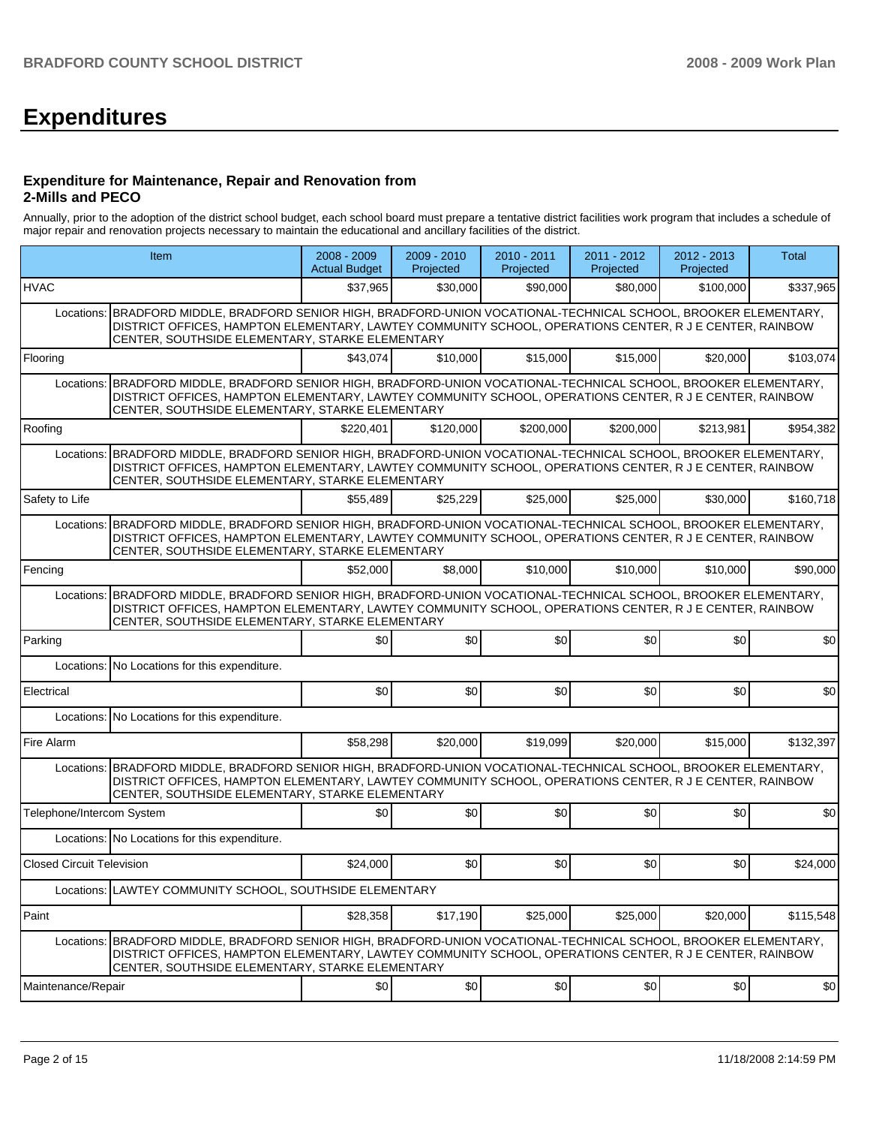# **Expenditures**

#### **Expenditure for Maintenance, Repair and Renovation from 2-Mills and PECO**

Annually, prior to the adoption of the district school budget, each school board must prepare a tentative district facilities work program that includes a schedule of major repair and renovation projects necessary to maintain the educational and ancillary facilities of the district.

| Item                                                                                                                                                                                                                                                                               |                                                                                                                                                                                                                                                                                 | 2008 - 2009<br><b>Actual Budget</b> | $2009 - 2010$<br>Projected | 2010 - 2011<br>Projected | 2011 - 2012<br>Projected | 2012 - 2013<br>Projected | Total     |  |  |  |  |
|------------------------------------------------------------------------------------------------------------------------------------------------------------------------------------------------------------------------------------------------------------------------------------|---------------------------------------------------------------------------------------------------------------------------------------------------------------------------------------------------------------------------------------------------------------------------------|-------------------------------------|----------------------------|--------------------------|--------------------------|--------------------------|-----------|--|--|--|--|
| <b>HVAC</b>                                                                                                                                                                                                                                                                        |                                                                                                                                                                                                                                                                                 | \$37,965                            | \$30,000                   | \$90,000                 | \$80,000                 | \$100,000                | \$337,965 |  |  |  |  |
|                                                                                                                                                                                                                                                                                    | Locations: BRADFORD MIDDLE, BRADFORD SENIOR HIGH, BRADFORD-UNION VOCATIONAL-TECHNICAL SCHOOL, BROOKER ELEMENTARY,<br>DISTRICT OFFICES, HAMPTON ELEMENTARY, LAWTEY COMMUNITY SCHOOL, OPERATIONS CENTER, R J E CENTER, RAINBOW<br>CENTER, SOUTHSIDE ELEMENTARY, STARKE ELEMENTARY |                                     |                            |                          |                          |                          |           |  |  |  |  |
| Flooring                                                                                                                                                                                                                                                                           |                                                                                                                                                                                                                                                                                 | \$43,074                            | \$10,000                   | \$15,000                 | \$15,000                 | \$20,000                 | \$103,074 |  |  |  |  |
| Locations:                                                                                                                                                                                                                                                                         | BRADFORD MIDDLE, BRADFORD SENIOR HIGH, BRADFORD-UNION VOCATIONAL-TECHNICAL SCHOOL, BROOKER ELEMENTARY,<br>DISTRICT OFFICES, HAMPTON ELEMENTARY, LAWTEY COMMUNITY SCHOOL, OPERATIONS CENTER, R J E CENTER, RAINBOW<br>CENTER, SOUTHSIDE ELEMENTARY, STARKE ELEMENTARY            |                                     |                            |                          |                          |                          |           |  |  |  |  |
| Roofing                                                                                                                                                                                                                                                                            |                                                                                                                                                                                                                                                                                 | \$220,401                           | \$120,000                  | \$200,000                | \$200,000                | \$213,981                | \$954,382 |  |  |  |  |
| Locations:                                                                                                                                                                                                                                                                         | BRADFORD MIDDLE, BRADFORD SENIOR HIGH, BRADFORD-UNION VOCATIONAL-TECHNICAL SCHOOL, BROOKER ELEMENTARY,<br>DISTRICT OFFICES, HAMPTON ELEMENTARY, LAWTEY COMMUNITY SCHOOL, OPERATIONS CENTER, R J E CENTER, RAINBOW<br>CENTER, SOUTHSIDE ELEMENTARY, STARKE ELEMENTARY            |                                     |                            |                          |                          |                          |           |  |  |  |  |
| Safety to Life                                                                                                                                                                                                                                                                     |                                                                                                                                                                                                                                                                                 | \$55,489                            | \$25,229                   | \$25,000                 | \$25,000                 | \$30,000                 | \$160,718 |  |  |  |  |
|                                                                                                                                                                                                                                                                                    | Locations: BRADFORD MIDDLE, BRADFORD SENIOR HIGH, BRADFORD-UNION VOCATIONAL-TECHNICAL SCHOOL, BROOKER ELEMENTARY,<br>DISTRICT OFFICES, HAMPTON ELEMENTARY, LAWTEY COMMUNITY SCHOOL, OPERATIONS CENTER, R J E CENTER, RAINBOW<br>CENTER, SOUTHSIDE ELEMENTARY, STARKE ELEMENTARY |                                     |                            |                          |                          |                          |           |  |  |  |  |
| Fencing                                                                                                                                                                                                                                                                            |                                                                                                                                                                                                                                                                                 | \$52,000                            | \$8,000                    | \$10,000                 | \$10,000                 | \$10,000                 | \$90,000  |  |  |  |  |
| BRADFORD MIDDLE, BRADFORD SENIOR HIGH, BRADFORD-UNION VOCATIONAL-TECHNICAL SCHOOL, BROOKER ELEMENTARY,<br>Locations:<br>DISTRICT OFFICES, HAMPTON ELEMENTARY, LAWTEY COMMUNITY SCHOOL, OPERATIONS CENTER, R J E CENTER, RAINBOW<br>CENTER, SOUTHSIDE ELEMENTARY, STARKE ELEMENTARY |                                                                                                                                                                                                                                                                                 |                                     |                            |                          |                          |                          |           |  |  |  |  |
| Parking                                                                                                                                                                                                                                                                            |                                                                                                                                                                                                                                                                                 | \$0                                 | \$0                        | \$0                      | \$0                      | \$0                      | \$0       |  |  |  |  |
|                                                                                                                                                                                                                                                                                    | Locations: No Locations for this expenditure.                                                                                                                                                                                                                                   |                                     |                            |                          |                          |                          |           |  |  |  |  |
| Electrical                                                                                                                                                                                                                                                                         |                                                                                                                                                                                                                                                                                 | \$0                                 | \$0                        | \$0                      | \$0                      | \$0                      | \$0       |  |  |  |  |
|                                                                                                                                                                                                                                                                                    | Locations: No Locations for this expenditure.                                                                                                                                                                                                                                   |                                     |                            |                          |                          |                          |           |  |  |  |  |
| Fire Alarm                                                                                                                                                                                                                                                                         |                                                                                                                                                                                                                                                                                 | \$58,298                            | \$20,000                   | \$19,099                 | \$20,000                 | \$15,000                 | \$132,397 |  |  |  |  |
| Locations:                                                                                                                                                                                                                                                                         | BRADFORD MIDDLE, BRADFORD SENIOR HIGH, BRADFORD-UNION VOCATIONAL-TECHNICAL SCHOOL, BROOKER ELEMENTARY,<br>DISTRICT OFFICES, HAMPTON ELEMENTARY, LAWTEY COMMUNITY SCHOOL, OPERATIONS CENTER, R J E CENTER, RAINBOW<br>CENTER, SOUTHSIDE ELEMENTARY, STARKE ELEMENTARY            |                                     |                            |                          |                          |                          |           |  |  |  |  |
| Telephone/Intercom System                                                                                                                                                                                                                                                          |                                                                                                                                                                                                                                                                                 | \$0                                 | \$0                        | \$0                      | \$0                      | \$0                      | \$0       |  |  |  |  |
|                                                                                                                                                                                                                                                                                    | Locations: No Locations for this expenditure.                                                                                                                                                                                                                                   |                                     |                            |                          |                          |                          |           |  |  |  |  |
| <b>Closed Circuit Television</b>                                                                                                                                                                                                                                                   |                                                                                                                                                                                                                                                                                 | \$24.000                            | \$0                        | \$0                      | \$0                      | \$0                      | \$24,000  |  |  |  |  |
|                                                                                                                                                                                                                                                                                    | Locations: LAWTEY COMMUNITY SCHOOL, SOUTHSIDE ELEMENTARY                                                                                                                                                                                                                        |                                     |                            |                          |                          |                          |           |  |  |  |  |
| Paint                                                                                                                                                                                                                                                                              |                                                                                                                                                                                                                                                                                 | \$28,358                            | \$17,190                   | \$25,000                 | \$25,000                 | \$20,000                 | \$115,548 |  |  |  |  |
| Locations:                                                                                                                                                                                                                                                                         | BRADFORD MIDDLE, BRADFORD SENIOR HIGH, BRADFORD-UNION VOCATIONAL-TECHNICAL SCHOOL, BROOKER ELEMENTARY,<br>DISTRICT OFFICES, HAMPTON ELEMENTARY, LAWTEY COMMUNITY SCHOOL, OPERATIONS CENTER, R J E CENTER, RAINBOW<br>CENTER, SOUTHSIDE ELEMENTARY, STARKE ELEMENTARY            |                                     |                            |                          |                          |                          |           |  |  |  |  |
| Maintenance/Repair                                                                                                                                                                                                                                                                 |                                                                                                                                                                                                                                                                                 | \$0                                 | \$0                        | \$0                      | \$0                      | \$0                      | \$0       |  |  |  |  |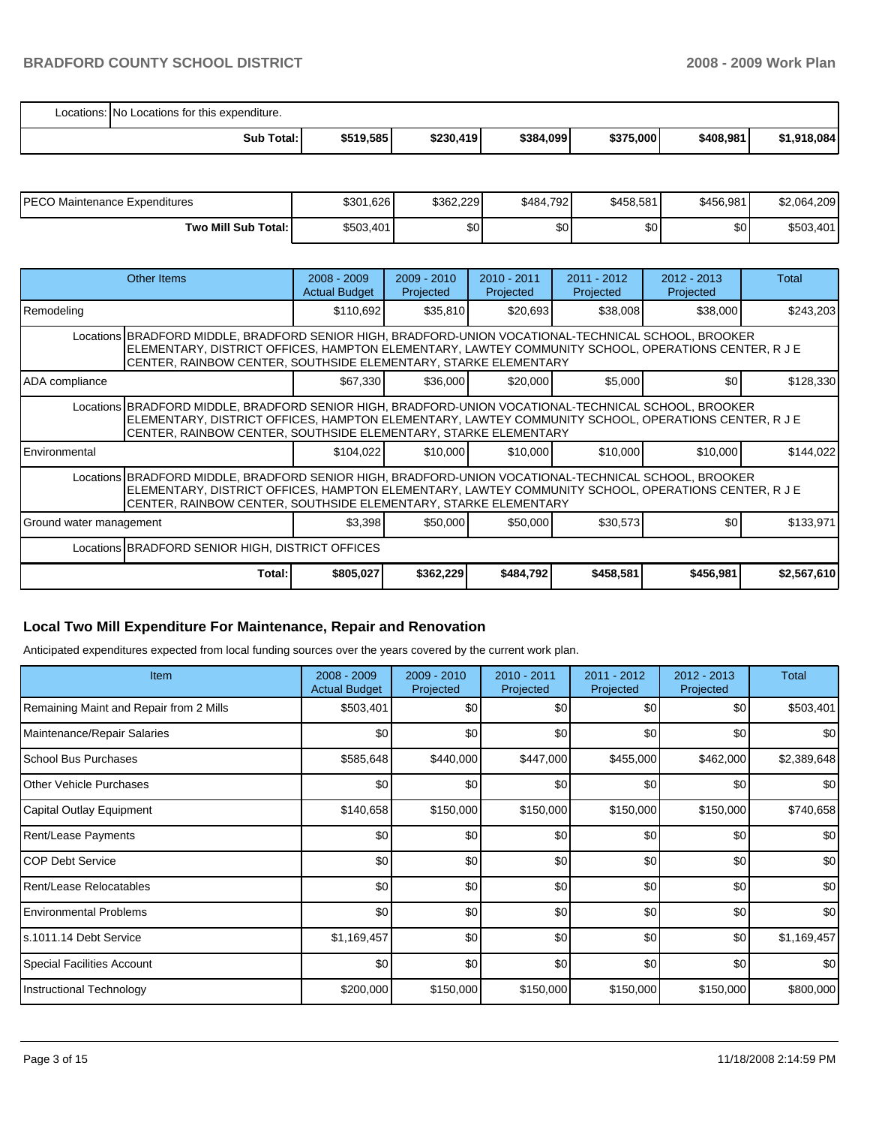| Locations: No Locations for this expenditure. |           |           |           |           |           |             |
|-----------------------------------------------|-----------|-----------|-----------|-----------|-----------|-------------|
| Sub Total:                                    | \$519,585 | \$230,419 | \$384,099 | \$375,000 | \$408,981 | \$1,918,084 |

| PECO Maintenance Expenditures | \$301,626 | \$362.229 | \$484,792 | \$458,581 | \$456,981        | \$2,064,209 |
|-------------------------------|-----------|-----------|-----------|-----------|------------------|-------------|
| Two Mill Sub Total:           | \$503,401 | \$0       | ا30       | \$0       | \$0 <sub>1</sub> | \$503,401   |

|                         | Other Items                                                                                                                                                                                                                                                                    | $2008 - 2009$<br><b>Actual Budget</b> | $2009 - 2010$<br>Projected | $2010 - 2011$<br>Projected | $2011 - 2012$<br>Projected | $2012 - 2013$<br>Projected | Total       |  |  |
|-------------------------|--------------------------------------------------------------------------------------------------------------------------------------------------------------------------------------------------------------------------------------------------------------------------------|---------------------------------------|----------------------------|----------------------------|----------------------------|----------------------------|-------------|--|--|
| Remodeling              |                                                                                                                                                                                                                                                                                | \$110,692                             | \$35,810                   | \$20,693                   | \$38,008                   | \$38,000                   | \$243,203   |  |  |
|                         | Locations BRADFORD MIDDLE, BRADFORD SENIOR HIGH, BRADFORD-UNION VOCATIONAL-TECHNICAL SCHOOL, BROOKER<br>ELEMENTARY, DISTRICT OFFICES, HAMPTON ELEMENTARY, LAWTEY COMMUNITY SCHOOL, OPERATIONS CENTER, R J E<br>CENTER, RAINBOW CENTER, SOUTHSIDE ELEMENTARY, STARKE ELEMENTARY |                                       |                            |                            |                            |                            |             |  |  |
| ADA compliance          |                                                                                                                                                                                                                                                                                | \$67,330                              | \$36,000                   | \$20,000                   | \$5,000                    | \$0                        | \$128,330   |  |  |
|                         | Locations BRADFORD MIDDLE, BRADFORD SENIOR HIGH, BRADFORD-UNION VOCATIONAL-TECHNICAL SCHOOL, BROOKER<br>ELEMENTARY, DISTRICT OFFICES, HAMPTON ELEMENTARY, LAWTEY COMMUNITY SCHOOL, OPERATIONS CENTER, R J E<br>CENTER, RAINBOW CENTER, SOUTHSIDE ELEMENTARY, STARKE ELEMENTARY |                                       |                            |                            |                            |                            |             |  |  |
| Environmental           |                                                                                                                                                                                                                                                                                | \$104.022                             | \$10,000                   | \$10,000                   | \$10,000                   | \$10,000                   | \$144,022   |  |  |
|                         | Locations BRADFORD MIDDLE, BRADFORD SENIOR HIGH, BRADFORD-UNION VOCATIONAL-TECHNICAL SCHOOL, BROOKER<br>ELEMENTARY, DISTRICT OFFICES, HAMPTON ELEMENTARY, LAWTEY COMMUNITY SCHOOL, OPERATIONS CENTER, R J E<br>CENTER, RAINBOW CENTER, SOUTHSIDE ELEMENTARY, STARKE ELEMENTARY |                                       |                            |                            |                            |                            |             |  |  |
| Ground water management |                                                                                                                                                                                                                                                                                | \$3,398                               | \$50,000                   | \$50,000                   | \$30,573                   | \$0                        | \$133,971   |  |  |
|                         | Locations <b>BRADFORD SENIOR HIGH, DISTRICT OFFICES</b>                                                                                                                                                                                                                        |                                       |                            |                            |                            |                            |             |  |  |
|                         | Total:                                                                                                                                                                                                                                                                         | \$805,027                             | \$362,229                  | \$484,792                  | \$458,581                  | \$456,981                  | \$2,567,610 |  |  |

# **Local Two Mill Expenditure For Maintenance, Repair and Renovation**

Anticipated expenditures expected from local funding sources over the years covered by the current work plan.

| Item                                    | $2008 - 2009$<br><b>Actual Budget</b> | $2009 - 2010$<br>Projected | 2010 - 2011<br>Projected | 2011 - 2012<br>Projected | 2012 - 2013<br>Projected | <b>Total</b> |
|-----------------------------------------|---------------------------------------|----------------------------|--------------------------|--------------------------|--------------------------|--------------|
| Remaining Maint and Repair from 2 Mills | \$503,401                             | \$0                        | \$0                      | \$0                      | \$0                      | \$503,401    |
| Maintenance/Repair Salaries             | \$0                                   | \$0                        | \$0                      | \$0                      | \$0                      | \$0          |
| School Bus Purchases                    | \$585,648                             | \$440,000                  | \$447,000                | \$455,000                | \$462,000                | \$2,389,648  |
| <b>Other Vehicle Purchases</b>          | \$0                                   | \$0                        | \$0                      | \$0                      | \$0                      | \$0          |
| Capital Outlay Equipment                | \$140,658                             | \$150,000                  | \$150,000                | \$150,000                | \$150,000                | \$740,658    |
| Rent/Lease Payments                     | \$0                                   | \$0                        | \$0                      | \$0                      | \$0                      | \$0          |
| <b>COP Debt Service</b>                 | \$0                                   | \$0                        | \$0                      | \$0                      | \$0                      | \$0          |
| Rent/Lease Relocatables                 | \$0                                   | \$0                        | \$0                      | \$0                      | \$0                      | \$0          |
| <b>Environmental Problems</b>           | \$0                                   | \$0                        | \$0                      | \$0                      | \$0                      | \$0          |
| ls.1011.14 Debt Service                 | \$1,169,457                           | \$0                        | \$0                      | \$0                      | \$0                      | \$1,169,457  |
| <b>Special Facilities Account</b>       | \$0                                   | \$0                        | \$0                      | \$0                      | \$0                      | \$0          |
| Instructional Technology                | \$200,000                             | \$150,000                  | \$150,000                | \$150,000                | \$150,000                | \$800,000    |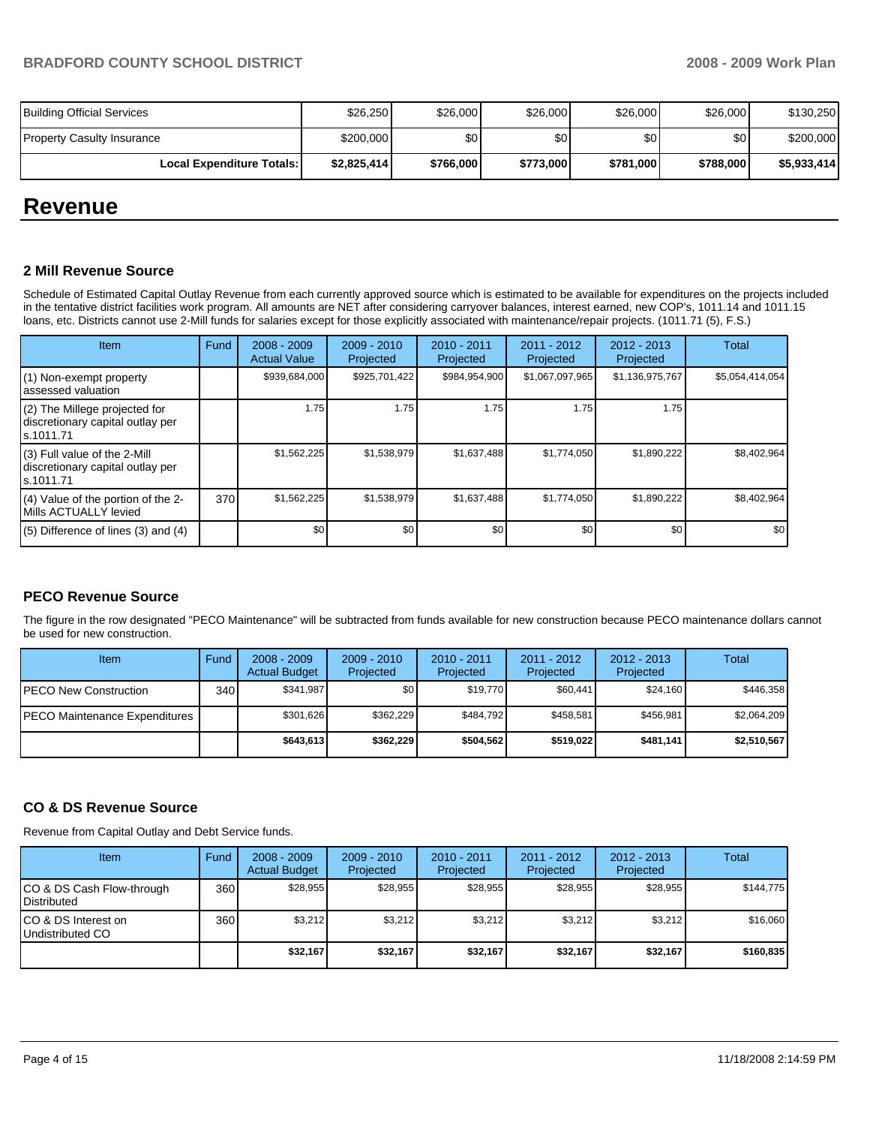| <b>Building Official Services</b>  | \$26,250    | \$26,000  | \$26,000         | \$26,000  | \$26,000  | \$130,250   |
|------------------------------------|-------------|-----------|------------------|-----------|-----------|-------------|
| <b>Property Casulty Insurance</b>  | \$200,000   | \$0 I     | \$0 <sub>1</sub> | \$0       | \$0       | \$200,000   |
| <b>Local Expenditure Totals: I</b> | \$2.825.414 | \$766,000 | \$773,000        | \$781,000 | \$788,000 | \$5,933,414 |

# **Revenue**

#### **2 Mill Revenue Source**

Schedule of Estimated Capital Outlay Revenue from each currently approved source which is estimated to be available for expenditures on the projects included in the tentative district facilities work program. All amounts are NET after considering carryover balances, interest earned, new COP's, 1011.14 and 1011.15 loans, etc. Districts cannot use 2-Mill funds for salaries except for those explicitly associated with maintenance/repair projects. (1011.71 (5), F.S.)

| Item                                                                              | Fund | $2008 - 2009$<br><b>Actual Value</b> | $2009 - 2010$<br>Projected | $2010 - 2011$<br>Projected | $2011 - 2012$<br>Projected | $2012 - 2013$<br>Projected | Total           |
|-----------------------------------------------------------------------------------|------|--------------------------------------|----------------------------|----------------------------|----------------------------|----------------------------|-----------------|
| (1) Non-exempt property<br>assessed valuation                                     |      | \$939,684,000                        | \$925,701,422              | \$984,954,900              | \$1,067,097,965            | \$1,136,975,767            | \$5,054,414,054 |
| $(2)$ The Millege projected for<br>discretionary capital outlay per<br>ls.1011.71 |      | 1.75                                 | 1.75                       | 1.75                       | 1.75                       | 1.75                       |                 |
| $(3)$ Full value of the 2-Mill<br>discretionary capital outlay per<br>ls.1011.71  |      | \$1,562,225                          | \$1,538,979                | \$1,637,488                | \$1,774,050                | \$1,890,222                | \$8,402,964     |
| $(4)$ Value of the portion of the 2-<br>Mills ACTUALLY levied                     | 370  | \$1,562,225                          | \$1,538,979                | \$1,637,488                | \$1,774,050                | \$1,890,222                | \$8,402,964     |
| $(5)$ Difference of lines $(3)$ and $(4)$                                         |      | \$0                                  | \$0                        | \$0                        | \$0                        | \$0                        | \$0             |

#### **PECO Revenue Source**

The figure in the row designated "PECO Maintenance" will be subtracted from funds available for new construction because PECO maintenance dollars cannot be used for new construction.

| Item                                  | Fund | $2008 - 2009$<br><b>Actual Budget</b> | $2009 - 2010$<br>Projected | $2010 - 2011$<br>Projected | 2011 - 2012<br>Projected | $2012 - 2013$<br>Projected | Total       |
|---------------------------------------|------|---------------------------------------|----------------------------|----------------------------|--------------------------|----------------------------|-------------|
| IPECO New Construction                | 340  | \$341.987                             | \$0                        | \$19,770                   | \$60.441                 | \$24.160                   | \$446,358   |
| <b>IPECO Maintenance Expenditures</b> |      | \$301.626                             | \$362.229                  | \$484.792                  | \$458.581                | \$456.981                  | \$2.064.209 |
|                                       |      | \$643.613                             | \$362,229                  | \$504.562                  | \$519.022                | \$481.141                  | \$2,510,567 |

# **CO & DS Revenue Source**

Revenue from Capital Outlay and Debt Service funds.

| Item                                     | Fund | $2008 - 2009$<br><b>Actual Budget</b> | $2009 - 2010$<br>Projected | $2010 - 2011$<br>Projected | 2011 - 2012<br>Projected | $2012 - 2013$<br>Projected | Total     |
|------------------------------------------|------|---------------------------------------|----------------------------|----------------------------|--------------------------|----------------------------|-----------|
| CO & DS Cash Flow-through<br>Distributed | 360  | \$28.955                              | \$28.955                   | \$28.955                   | \$28.955                 | \$28.955                   | \$144.775 |
| CO & DS Interest on<br>Undistributed CO  | 360  | \$3.212                               | \$3,212                    | \$3.212                    | \$3.212                  | \$3,212                    | \$16,060  |
|                                          |      | \$32,167                              | \$32,167                   | \$32.167                   | \$32.167                 | \$32,167                   | \$160,835 |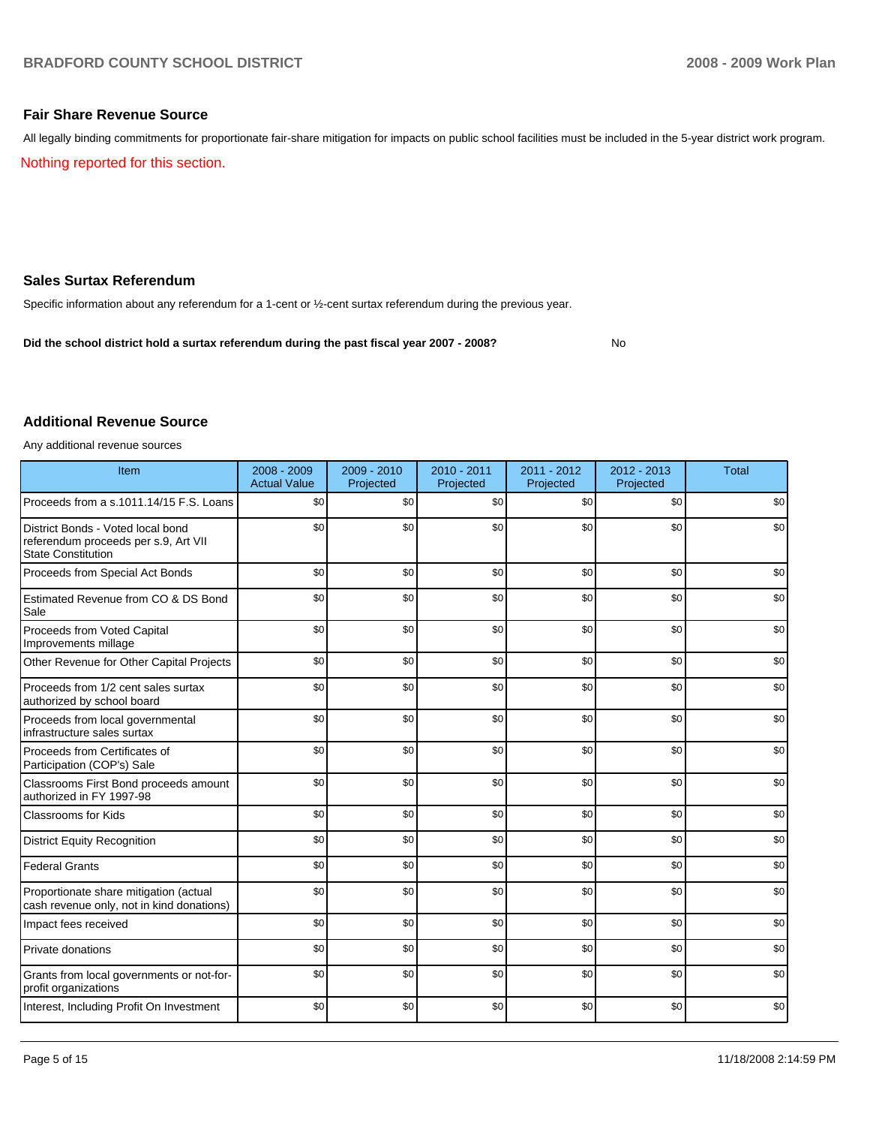### **Fair Share Revenue Source**

All legally binding commitments for proportionate fair-share mitigation for impacts on public school facilities must be included in the 5-year district work program. Nothing reported for this section.

#### **Sales Surtax Referendum**

Specific information about any referendum for a 1-cent or ½-cent surtax referendum during the previous year.

**Did the school district hold a surtax referendum during the past fiscal year 2007 - 2008?** No

#### **Additional Revenue Source**

Any additional revenue sources

| Item                                                                                                   | 2008 - 2009<br><b>Actual Value</b> | $2009 - 2010$<br>Projected | 2010 - 2011<br>Projected | 2011 - 2012<br>Projected | $2012 - 2013$<br>Projected | <b>Total</b> |
|--------------------------------------------------------------------------------------------------------|------------------------------------|----------------------------|--------------------------|--------------------------|----------------------------|--------------|
| Proceeds from a s.1011.14/15 F.S. Loans                                                                | \$0                                | \$0                        | \$0                      | \$0                      | \$0                        | \$0          |
| District Bonds - Voted local bond<br>referendum proceeds per s.9, Art VII<br><b>State Constitution</b> | \$0                                | \$0                        | \$0                      | \$0                      | \$0                        | \$0          |
| Proceeds from Special Act Bonds                                                                        | \$0                                | \$0                        | \$0                      | \$0                      | \$0                        | \$0          |
| Estimated Revenue from CO & DS Bond<br>Sale                                                            | \$0                                | \$0                        | \$0                      | \$0                      | \$0                        | \$0          |
| Proceeds from Voted Capital<br>Improvements millage                                                    | \$0                                | \$0                        | \$0                      | \$0                      | \$0                        | \$0          |
| Other Revenue for Other Capital Projects                                                               | \$0                                | \$0                        | \$0                      | \$0                      | \$0                        | \$0          |
| Proceeds from 1/2 cent sales surtax<br>authorized by school board                                      | \$0                                | \$0                        | \$0                      | \$0                      | \$0                        | \$0          |
| Proceeds from local governmental<br>infrastructure sales surtax                                        | \$0                                | \$0                        | \$0                      | \$0                      | \$0                        | \$0          |
| Proceeds from Certificates of<br>Participation (COP's) Sale                                            | \$0                                | \$0                        | \$0                      | \$0                      | \$0                        | \$0          |
| Classrooms First Bond proceeds amount<br>authorized in FY 1997-98                                      | \$0                                | \$0                        | \$0                      | \$0                      | \$0                        | \$0          |
| Classrooms for Kids                                                                                    | \$0                                | \$0                        | \$0                      | \$0                      | \$0                        | \$0          |
| <b>District Equity Recognition</b>                                                                     | \$0                                | \$0                        | \$0                      | \$0                      | \$0                        | \$0          |
| <b>Federal Grants</b>                                                                                  | \$0                                | \$0                        | \$0                      | \$0                      | \$0                        | \$0          |
| Proportionate share mitigation (actual<br>cash revenue only, not in kind donations)                    | \$0                                | \$0                        | \$0                      | \$0                      | \$0                        | \$0          |
| Impact fees received                                                                                   | \$0                                | \$0                        | \$0                      | \$0                      | \$0                        | \$0          |
| Private donations                                                                                      | \$0                                | \$0                        | \$0                      | \$0                      | \$0                        | \$0          |
| Grants from local governments or not-for-<br>profit organizations                                      | \$0                                | \$0                        | \$0                      | \$0                      | \$0                        | \$0          |
| Interest, Including Profit On Investment                                                               | \$0                                | \$0                        | \$0                      | \$0                      | \$0                        | \$0          |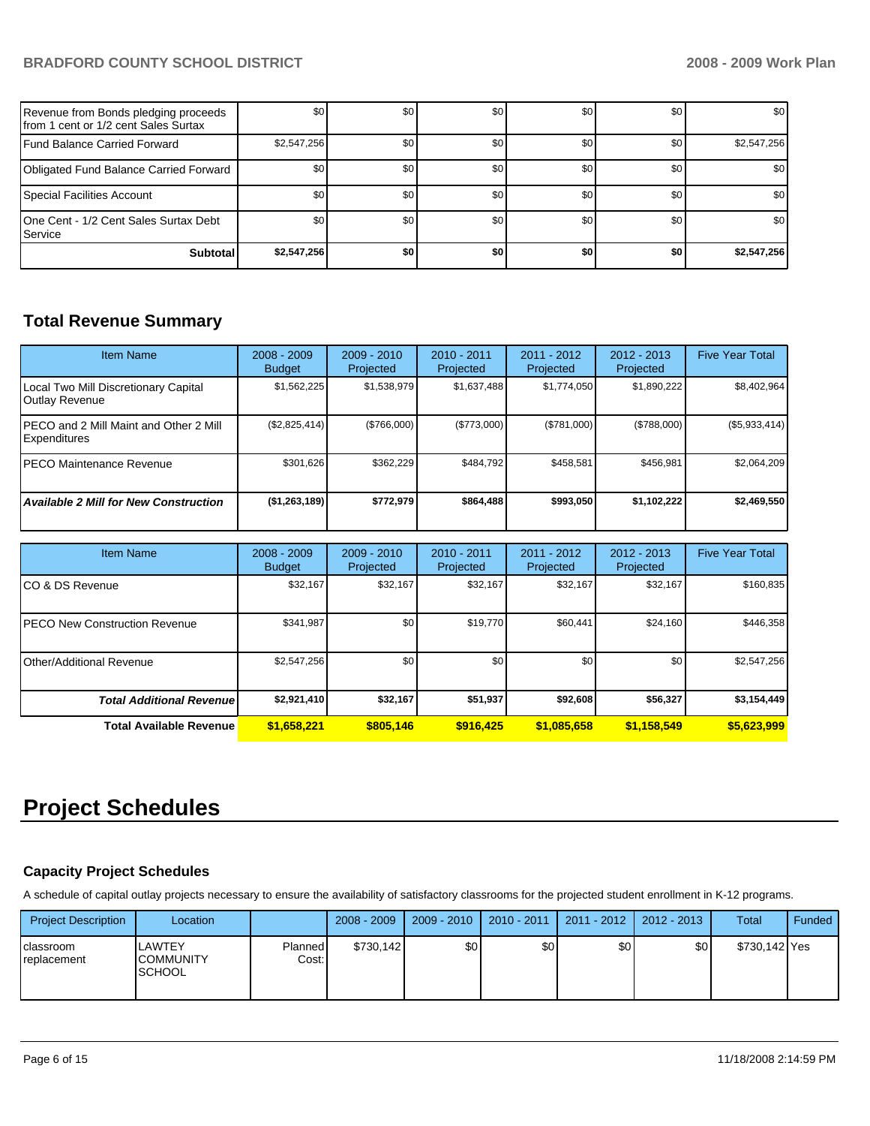| Revenue from Bonds pledging proceeds<br>Ifrom 1 cent or 1/2 cent Sales Surtax | \$0         | \$0 | \$0 | \$0 | \$0 | \$0         |
|-------------------------------------------------------------------------------|-------------|-----|-----|-----|-----|-------------|
| Fund Balance Carried Forward                                                  | \$2,547,256 | \$0 | \$0 | \$0 | \$0 | \$2,547,256 |
| Obligated Fund Balance Carried Forward                                        | \$0         | \$0 | \$0 | \$0 | \$0 | \$0         |
| Special Facilities Account                                                    | \$0         | \$0 | \$0 | \$0 | \$0 | \$0         |
| 10ne Cent - 1/2 Cent Sales Surtax Debt<br><b>I</b> Service                    | \$0         | \$0 | \$0 | \$0 | \$0 | \$0         |
| <b>Subtotal</b>                                                               | \$2,547,256 | \$0 | \$0 | \$0 | \$0 | \$2,547,256 |

# **Total Revenue Summary**

| <b>Item Name</b>                                       | $2008 - 2009$<br><b>Budget</b> | $2009 - 2010$<br>Projected | $2010 - 2011$<br>Projected | 2011 - 2012<br>Projected | $2012 - 2013$<br>Projected | <b>Five Year Total</b> |
|--------------------------------------------------------|--------------------------------|----------------------------|----------------------------|--------------------------|----------------------------|------------------------|
| Local Two Mill Discretionary Capital<br>Outlay Revenue | \$1,562,225                    | \$1,538,979                | \$1,637,488                | \$1,774,050              | \$1,890,222                | \$8,402,964            |
| PECO and 2 Mill Maint and Other 2 Mill<br>Expenditures | (\$2,825,414)                  | (\$766,000)                | (S773.000)                 | (\$781,000)              | (\$788,000)                | (\$5,933,414)          |
| IPECO Maintenance Revenue                              | \$301.626                      | \$362,229                  | \$484.792                  | \$458.581                | \$456.981                  | \$2,064,209            |
| <b>Available 2 Mill for New Construction</b>           | (\$1,263,189)                  | \$772,979                  | \$864.488                  | \$993.050                | \$1,102,222                | \$2,469,550            |

| <b>Item Name</b>                 | $2008 - 2009$<br><b>Budget</b> | $2009 - 2010$<br>Projected | 2010 - 2011<br>Projected | 2011 - 2012<br>Projected | $2012 - 2013$<br>Projected | <b>Five Year Total</b> |
|----------------------------------|--------------------------------|----------------------------|--------------------------|--------------------------|----------------------------|------------------------|
| ICO & DS Revenue                 | \$32,167                       | \$32,167                   | \$32,167                 | \$32,167                 | \$32,167                   | \$160,835              |
| IPECO New Construction Revenue   | \$341,987                      | \$0                        | \$19,770                 | \$60,441                 | \$24,160                   | \$446,358              |
| Other/Additional Revenue         | \$2,547,256                    | \$0                        | \$0                      | \$0                      | \$0                        | \$2,547,256            |
| <b>Total Additional Revenuel</b> | \$2,921,410                    | \$32,167                   | \$51,937                 | \$92,608                 | \$56,327                   | \$3,154,449            |
| <b>Total Available Revenue</b>   | \$1,658,221                    | \$805.146                  | \$916.425                | \$1.085.658              | \$1,158,549                | \$5,623,999            |

# **Project Schedules**

# **Capacity Project Schedules**

A schedule of capital outlay projects necessary to ensure the availability of satisfactory classrooms for the projected student enrollment in K-12 programs.

| <b>Project Description</b> | Location                                    |                  | $2008 - 2009$ | $2009 - 2010$ | $2010 - 2011$ | 2011 - 2012 | 2012 - 2013 | Total         | Funded |
|----------------------------|---------------------------------------------|------------------|---------------|---------------|---------------|-------------|-------------|---------------|--------|
| classroom<br>replacement   | LAWTEY<br><b>COMMUNITY</b><br><b>SCHOOL</b> | Planned<br>Cost: | \$730.142     | \$0           | \$0           | \$0         | \$0         | \$730,142 Yes |        |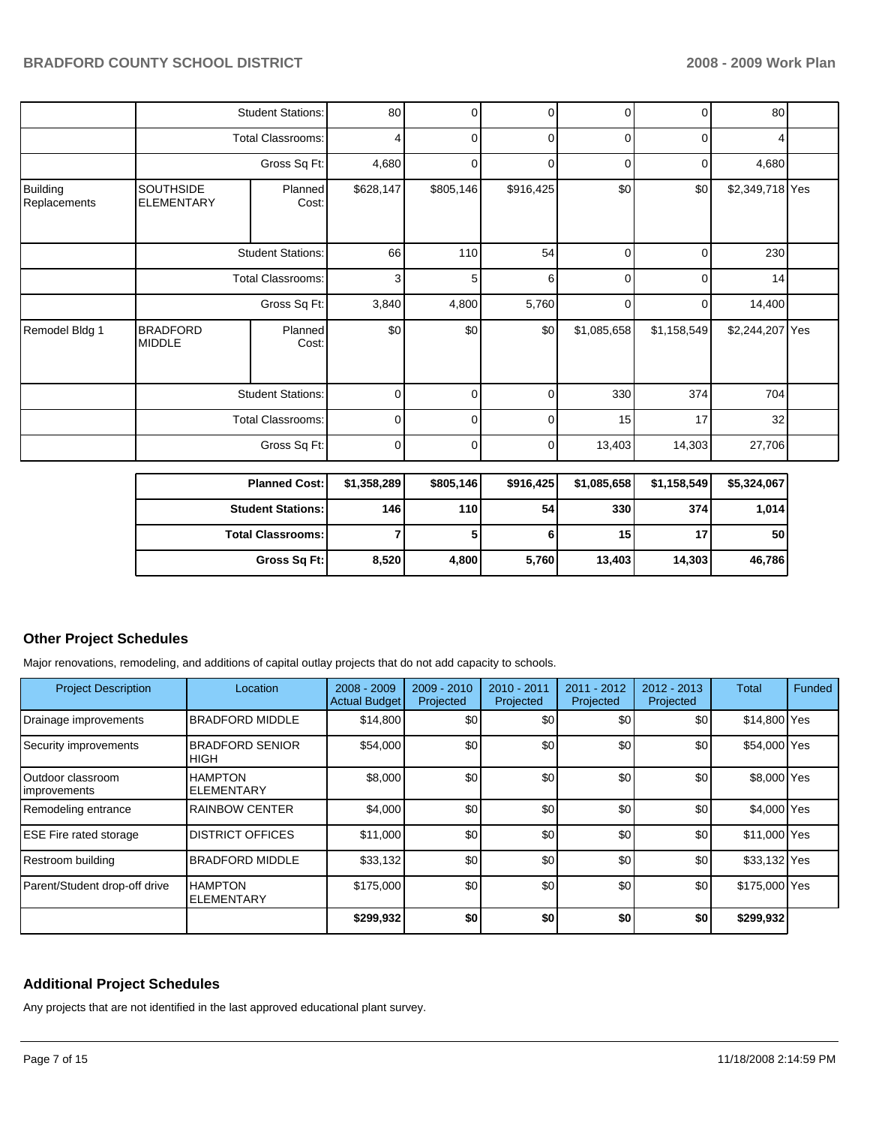|                          |                                       | Gross Sq Ft:             | 8,520          | 4,800     | 5,760       | 13,403         | 14,303      | 46,786          |  |
|--------------------------|---------------------------------------|--------------------------|----------------|-----------|-------------|----------------|-------------|-----------------|--|
|                          |                                       | <b>Total Classrooms:</b> | $\overline{7}$ | 5         | 6           | 15             | 17          | 50              |  |
|                          |                                       | <b>Student Stations:</b> | 146            | 110       | 54          | 330            | 374         | 1,014           |  |
|                          |                                       | <b>Planned Cost:</b>     | \$1,358,289    | \$805,146 | \$916,425   | \$1,085,658    | \$1,158,549 | \$5,324,067     |  |
|                          |                                       | Gross Sq Ft:             | 0              | 0         | 0           | 13,403         | 14,303      | 27,706          |  |
|                          |                                       | <b>Total Classrooms:</b> | $\mathbf 0$    | $\Omega$  | 0           | 15             | 17          | 32              |  |
|                          |                                       | <b>Student Stations:</b> | $\mathbf 0$    | $\Omega$  | 0           | 330            | 374         | 704             |  |
| Remodel Bldg 1           | <b>BRADFORD</b><br><b>MIDDLE</b>      | Planned<br>Cost:         | \$0            | \$0       | \$0         | \$1,085,658    | \$1,158,549 | \$2,244,207 Yes |  |
|                          |                                       | Gross Sq Ft:             | 3,840          | 4,800     | 5,760       | $\overline{0}$ | 0           | 14,400          |  |
|                          | <b>Total Classrooms:</b>              |                          |                | 5         | 6           | $\overline{0}$ | 0           | 14              |  |
|                          | <b>Student Stations:</b>              |                          | 66             | 110       | 54          | $\overline{0}$ | 0           | 230             |  |
| Building<br>Replacements | <b>SOUTHSIDE</b><br><b>ELEMENTARY</b> | Planned<br>Cost:         | \$628,147      | \$805,146 | \$916,425   | \$0            | \$0         | \$2,349,718 Yes |  |
|                          |                                       | Gross Sq Ft:             | 4,680          | $\Omega$  | 0           | 0              | 0           | 4,680           |  |
|                          |                                       | <b>Total Classrooms:</b> | 4              | 0         | $\mathbf 0$ | $\mathbf 0$    | 0           | 4               |  |
|                          |                                       | <b>Student Stations:</b> | 80             | 0         | 0           | $\overline{0}$ | 0           | 80              |  |

## **Other Project Schedules**

Major renovations, remodeling, and additions of capital outlay projects that do not add capacity to schools.

| <b>Project Description</b>         | Location                              | $2008 - 2009$<br><b>Actual Budget</b> | $2009 - 2010$<br>Projected | 2010 - 2011<br>Projected | $2011 - 2012$<br>Projected | $2012 - 2013$<br>Projected | Total         | Funded |
|------------------------------------|---------------------------------------|---------------------------------------|----------------------------|--------------------------|----------------------------|----------------------------|---------------|--------|
| Drainage improvements              | <b>BRADFORD MIDDLE</b>                | \$14.800                              | \$0                        | \$0                      | \$0                        | \$0                        | \$14,800 Yes  |        |
| Security improvements              | <b>BRADFORD SENIOR</b><br><b>HIGH</b> | \$54,000                              | \$0                        | \$0                      | \$0                        | \$0                        | \$54,000 Yes  |        |
| lOutdoor classroom<br>Improvements | <b>HAMPTON</b><br><b>ELEMENTARY</b>   | \$8,000                               | \$0                        | \$0                      | \$0                        | \$0                        | \$8,000 Yes   |        |
| Remodeling entrance                | <b>RAINBOW CENTER</b>                 | \$4,000                               | \$0                        | \$0                      | \$0                        | \$0                        | \$4,000 Yes   |        |
| <b>ESE Fire rated storage</b>      | <b>IDISTRICT OFFICES</b>              | \$11,000                              | \$0                        | \$0                      | \$0                        | \$0                        | \$11,000 Yes  |        |
| Restroom building                  | <b>BRADFORD MIDDLE</b>                | \$33,132                              | \$0                        | \$0                      | \$0                        | \$0                        | \$33,132 Yes  |        |
| Parent/Student drop-off drive      | <b>HAMPTON</b><br><b>ELEMENTARY</b>   | \$175,000                             | \$0                        | \$0                      | \$0                        | \$0                        | \$175,000 Yes |        |
|                                    |                                       | \$299,932                             | \$0                        | \$0                      | \$0                        | \$0                        | \$299,932     |        |

# **Additional Project Schedules**

Any projects that are not identified in the last approved educational plant survey.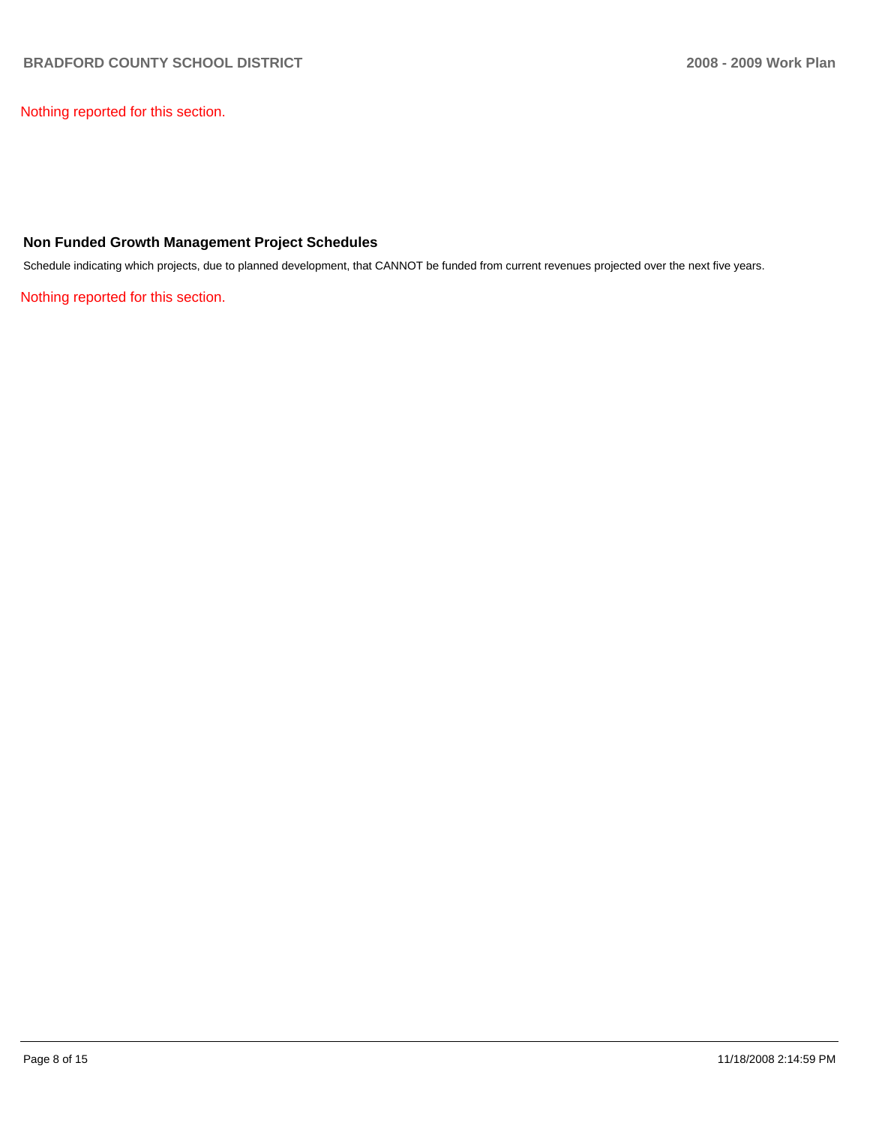Nothing reported for this section.

# **Non Funded Growth Management Project Schedules**

Schedule indicating which projects, due to planned development, that CANNOT be funded from current revenues projected over the next five years.

Nothing reported for this section.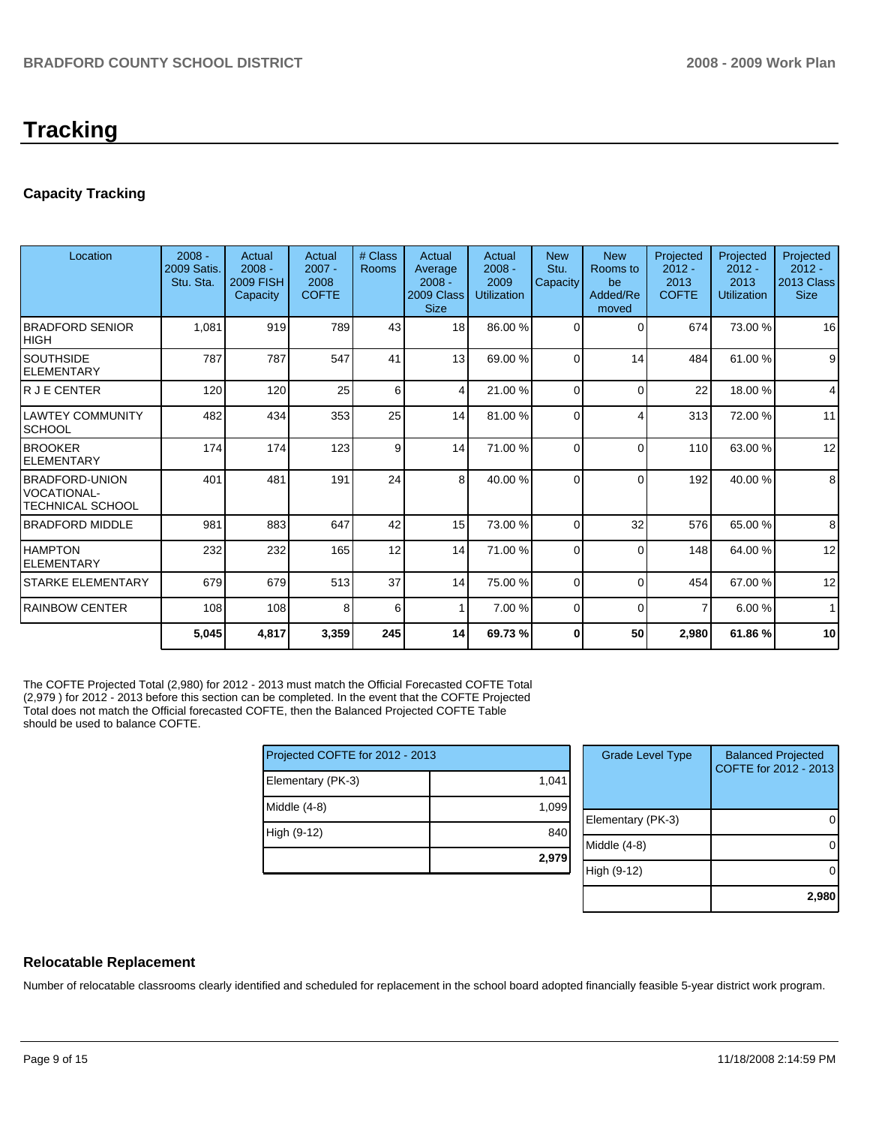# **Tracking**

# **Capacity Tracking**

| Location                                                 | $2008 -$<br><b>2009 Satis.</b><br>Stu. Sta. | Actual<br>$2008 -$<br><b>2009 FISH</b><br>Capacity | Actual<br>$2007 -$<br>2008<br><b>COFTE</b> | # Class<br>Rooms | Actual<br>Average<br>$2008 -$<br>2009 Class<br><b>Size</b> | Actual<br>$2008 -$<br>2009<br><b>Utilization</b> | <b>New</b><br>Stu.<br>Capacity | <b>New</b><br>Rooms to<br>be<br>Added/Re<br>moved | Projected<br>$2012 -$<br>2013<br><b>COFTE</b> | Projected<br>$2012 -$<br>2013<br><b>Utilization</b> | Projected<br>$2012 -$<br>2013 Class<br><b>Size</b> |
|----------------------------------------------------------|---------------------------------------------|----------------------------------------------------|--------------------------------------------|------------------|------------------------------------------------------------|--------------------------------------------------|--------------------------------|---------------------------------------------------|-----------------------------------------------|-----------------------------------------------------|----------------------------------------------------|
| <b>BRADFORD SENIOR</b><br>IHIGH                          | 1,081                                       | 919                                                | 789                                        | 43               | 18 <sup>1</sup>                                            | 86.00 %                                          | $\Omega$                       | 0                                                 | 674                                           | 73.00 %                                             | 16                                                 |
| <b>SOUTHSIDE</b><br><b>ELEMENTARY</b>                    | 787                                         | 787                                                | 547                                        | 41               | 13                                                         | 69.00 %                                          | $\Omega$                       | 14                                                | 484                                           | 61.00 %                                             | 9                                                  |
| R J E CENTER                                             | 120                                         | 120                                                | 25                                         | 6                | $\overline{4}$                                             | 21.00 %                                          | $\Omega$                       | $\Omega$                                          | 22                                            | 18.00 %                                             | 4                                                  |
| <b>LAWTEY COMMUNITY</b><br><b>SCHOOL</b>                 | 482                                         | 434                                                | 353                                        | 25               | 14                                                         | 81.00 %                                          | $\Omega$                       |                                                   | 313                                           | 72.00 %                                             | 11                                                 |
| <b>BROOKER</b><br>ELEMENTARY                             | 174                                         | 174                                                | 123                                        | 9                | 14                                                         | 71.00 %                                          | $\Omega$                       | $\Omega$                                          | 110                                           | 63.00 %                                             | 12                                                 |
| <b>BRADFORD-UNION</b><br>VOCATIONAL-<br>TECHNICAL SCHOOL | 401                                         | 481                                                | 191                                        | 24               | 8                                                          | 40.00 %                                          | $\Omega$                       | $\Omega$                                          | 192                                           | 40.00 %                                             | 8                                                  |
| <b>BRADFORD MIDDLE</b>                                   | 981                                         | 883                                                | 647                                        | 42               | 15                                                         | 73.00 %                                          | $\Omega$                       | 32                                                | 576                                           | 65.00 %                                             | 8                                                  |
| <b>HAMPTON</b><br><b>ELEMENTARY</b>                      | 232                                         | 232                                                | 165                                        | 12               | 14                                                         | 71.00 %                                          | $\Omega$                       | $\Omega$                                          | 148                                           | 64.00 %                                             | 12                                                 |
| <b>STARKE ELEMENTARY</b>                                 | 679                                         | 679                                                | 513                                        | 37               | 14                                                         | 75.00 %                                          | $\Omega$                       | $\Omega$                                          | 454                                           | 67.00 %                                             | 12                                                 |
| <b>RAINBOW CENTER</b>                                    | 108                                         | 108                                                | 8                                          | 6                |                                                            | 7.00 %                                           | $\Omega$                       | $\Omega$                                          | 7                                             | 6.00 %                                              | $\mathbf{1}$                                       |
|                                                          | 5,045                                       | 4,817                                              | 3,359                                      | 245              | 14                                                         | 69.73%                                           | $\bf{0}$                       | 50                                                | 2,980                                         | 61.86 %                                             | 10                                                 |

The COFTE Projected Total (2,980) for 2012 - 2013 must match the Official Forecasted COFTE Total (2,979 ) for 2012 - 2013 before this section can be completed. In the event that the COFTE Projected Total does not match the Official forecasted COFTE, then the Balanced Projected COFTE Table should be used to balance COFTE.

| Projected COFTE for 2012 - 2013 |       |  |  |  |  |  |
|---------------------------------|-------|--|--|--|--|--|
| Elementary (PK-3)               | 1,041 |  |  |  |  |  |
| Middle (4-8)                    | 1,099 |  |  |  |  |  |
| High (9-12)                     | 840   |  |  |  |  |  |
|                                 | 2,979 |  |  |  |  |  |

| <b>Grade Level Type</b> | <b>Balanced Projected</b><br>COFTE for 2012 - 2013 |
|-------------------------|----------------------------------------------------|
| Elementary (PK-3)       |                                                    |
| Middle (4-8)            |                                                    |
| High (9-12)             |                                                    |
|                         | 2,980                                              |

# **Relocatable Replacement**

Number of relocatable classrooms clearly identified and scheduled for replacement in the school board adopted financially feasible 5-year district work program.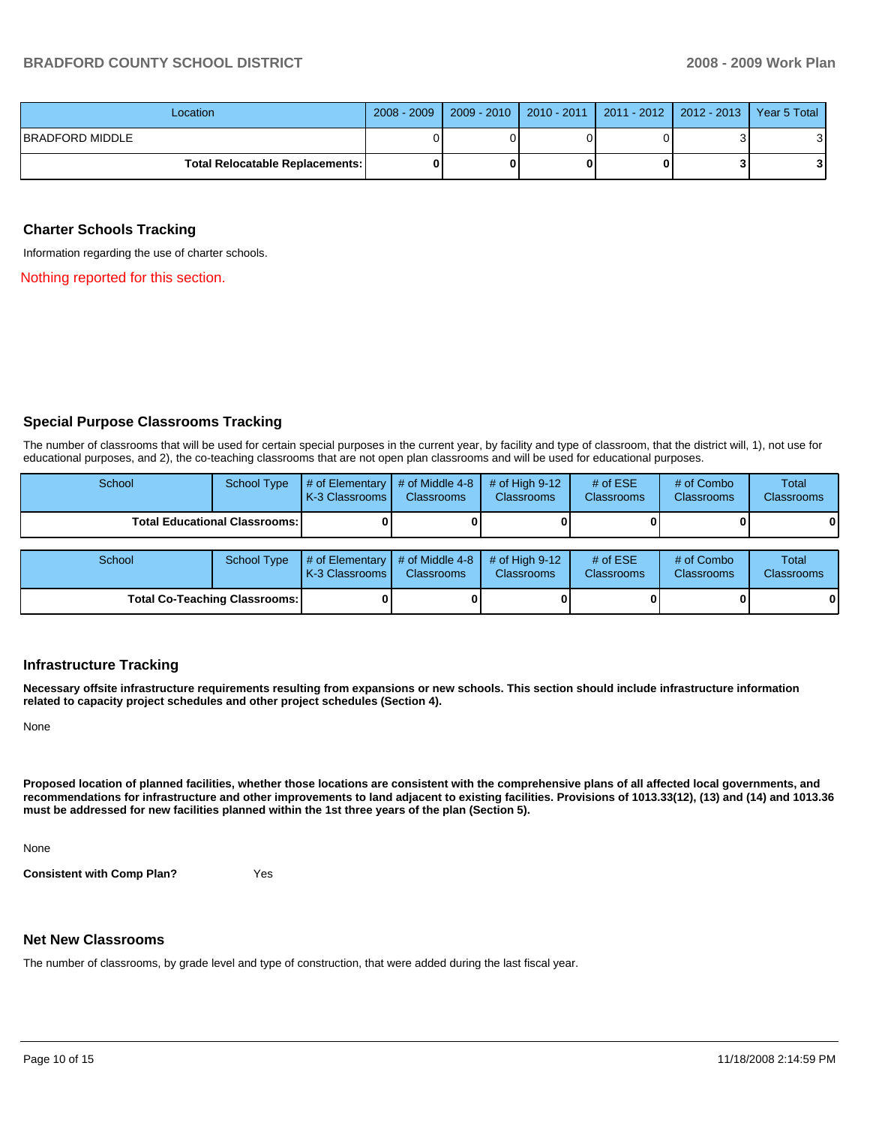| Location                        | 2008 - 2009   2009 - 2010   2010 - 2011   2011 - 2012   2012 - 2013   Year 5 Total |  |   |
|---------------------------------|------------------------------------------------------------------------------------|--|---|
| <b>IBRADFORD MIDDLE</b>         |                                                                                    |  | ີ |
| Total Relocatable Replacements: |                                                                                    |  |   |

#### **Charter Schools Tracking**

Information regarding the use of charter schools.

Nothing reported for this section.

### **Special Purpose Classrooms Tracking**

The number of classrooms that will be used for certain special purposes in the current year, by facility and type of classroom, that the district will, 1), not use for educational purposes, and 2), the co-teaching classrooms that are not open plan classrooms and will be used for educational purposes.

| School                               | <b>School Type</b> | # of Elementary<br>K-3 Classrooms   | # of Middle 4-8<br><b>Classrooms</b> | # of High $9-12$<br><b>Classrooms</b> | # of $ESE$<br><b>Classrooms</b> | # of Combo<br><b>Classrooms</b> | Total<br><b>Classrooms</b> |
|--------------------------------------|--------------------|-------------------------------------|--------------------------------------|---------------------------------------|---------------------------------|---------------------------------|----------------------------|
| <b>Total Educational Classrooms:</b> |                    |                                     |                                      |                                       |                                 | 01                              |                            |
| School                               | <b>School Type</b> | $#$ of Elementary<br>K-3 Classrooms | # of Middle 4-8<br><b>Classrooms</b> | # of High $9-12$<br><b>Classrooms</b> | # of $ESE$<br>Classrooms        | # of Combo<br><b>Classrooms</b> | Total<br><b>Classrooms</b> |
| <b>Total Co-Teaching Classrooms:</b> |                    |                                     |                                      |                                       |                                 |                                 | 01                         |

#### **Infrastructure Tracking**

**Necessary offsite infrastructure requirements resulting from expansions or new schools. This section should include infrastructure information related to capacity project schedules and other project schedules (Section 4).** 

None

**Proposed location of planned facilities, whether those locations are consistent with the comprehensive plans of all affected local governments, and recommendations for infrastructure and other improvements to land adjacent to existing facilities. Provisions of 1013.33(12), (13) and (14) and 1013.36 must be addressed for new facilities planned within the 1st three years of the plan (Section 5).** 

None

**Consistent with Comp Plan?** Yes

#### **Net New Classrooms**

The number of classrooms, by grade level and type of construction, that were added during the last fiscal year.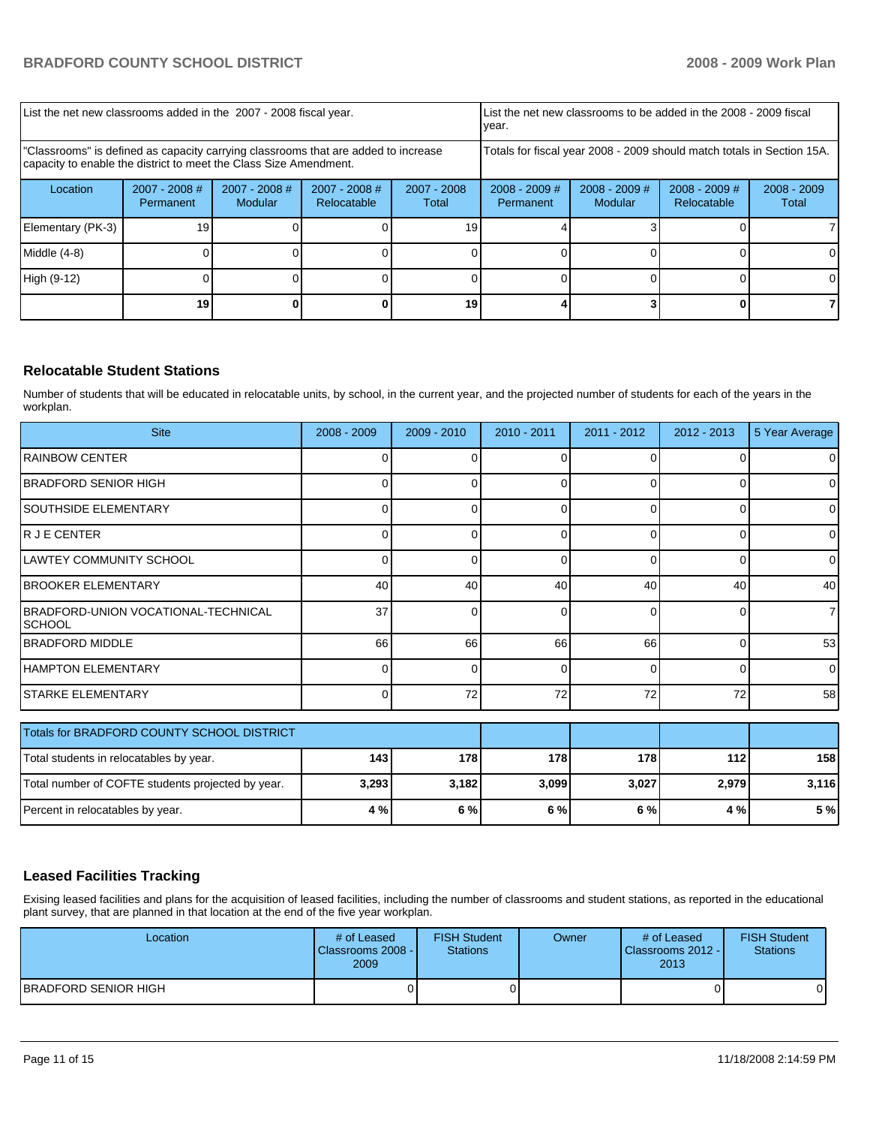| List the net new classrooms added in the 2007 - 2008 fiscal year.                                                                                       |                              |                                   |                                |                        | List the net new classrooms to be added in the 2008 - 2009 fiscal<br>year. |                            |                                |                        |  |
|---------------------------------------------------------------------------------------------------------------------------------------------------------|------------------------------|-----------------------------------|--------------------------------|------------------------|----------------------------------------------------------------------------|----------------------------|--------------------------------|------------------------|--|
| "Classrooms" is defined as capacity carrying classrooms that are added to increase<br>capacity to enable the district to meet the Class Size Amendment. |                              |                                   |                                |                        | Totals for fiscal year 2008 - 2009 should match totals in Section 15A.     |                            |                                |                        |  |
| Location                                                                                                                                                | $2007 - 2008$ #<br>Permanent | $2007 - 2008$ #<br><b>Modular</b> | $2007 - 2008$ #<br>Relocatable | $2007 - 2008$<br>Total | $2008 - 2009$ #<br>Permanent                                               | $2008 - 2009$ #<br>Modular | $2008 - 2009$ #<br>Relocatable | $2008 - 2009$<br>Total |  |
| Elementary (PK-3)                                                                                                                                       | 19                           |                                   |                                | 19                     |                                                                            |                            |                                |                        |  |
| Middle (4-8)                                                                                                                                            |                              |                                   |                                |                        |                                                                            |                            |                                |                        |  |
| High (9-12)                                                                                                                                             |                              |                                   |                                |                        |                                                                            |                            |                                | ΩI                     |  |
|                                                                                                                                                         | 19                           |                                   |                                | 19                     |                                                                            |                            |                                |                        |  |

# **Relocatable Student Stations**

Number of students that will be educated in relocatable units, by school, in the current year, and the projected number of students for each of the years in the workplan.

| <b>Site</b>                                          | 2008 - 2009 | 2009 - 2010 | 2010 - 2011 | 2011 - 2012 | $2012 - 2013$ | 5 Year Average |
|------------------------------------------------------|-------------|-------------|-------------|-------------|---------------|----------------|
| <b>IRAINBOW CENTER</b>                               | ∩           | $\Omega$    | 0           | $\Omega$    | 0             | 0              |
| IBRADFORD SENIOR HIGH                                |             | U           |             | ∩           |               | 0              |
| <b>ISOUTHSIDE ELEMENTARY</b>                         | 0           | $\Omega$    | 0           | 0           | 0             | $\overline{0}$ |
| R J E CENTER                                         |             | $\Omega$    | $\Omega$    | $\Omega$    | 0             | $\overline{0}$ |
| LAWTEY COMMUNITY SCHOOL                              | 0           | 0           | ŋ           | $\Omega$    | 0             | 0              |
| <b>BROOKER ELEMENTARY</b>                            | 40          | 40          | 40          | 40          | 40            | 40             |
| BRADFORD-UNION VOCATIONAL-TECHNICAL<br><b>SCHOOL</b> | 37          | 0           | ŋ           | $\Omega$    | 0             | 71             |
| <b>BRADFORD MIDDLE</b>                               | 66          | 66          | 66          | 66          | 0             | 53             |
| <b>HAMPTON ELEMENTARY</b>                            | 0           | 0           | ŋ           | $\Omega$    | 0             | 0              |
| ISTARKE ELEMENTARY                                   | $\Omega$    | 72          | 72          | 72          | 72            | 58             |
| Totals for BRADFORD COUNTY SCHOOL DISTRICT           |             |             |             |             |               |                |
| Total students in relocatables by year.              | 143         | 178         | 178         | 178         | 112           | 158            |
| Total number of COFTE students projected by year.    | 3,293       | 3,182       | 3,099       | 3,027       | 2,979         | 3,116          |
| Percent in relocatables by year.                     | 4 %         | 6 %         | 6 %         | 6 %         | 4 %           | 5 %            |

# **Leased Facilities Tracking**

Exising leased facilities and plans for the acquisition of leased facilities, including the number of classrooms and student stations, as reported in the educational plant survey, that are planned in that location at the end of the five year workplan.

| Location             | # of Leased<br>Classrooms 2008 -<br>2009 | <b>FISH Student</b><br><b>Stations</b> | Owner | # of Leased<br>Classrooms 2012 - I<br>2013 | <b>FISH Student</b><br>Stations |
|----------------------|------------------------------------------|----------------------------------------|-------|--------------------------------------------|---------------------------------|
| BRADFORD SENIOR HIGH |                                          |                                        |       |                                            | 01                              |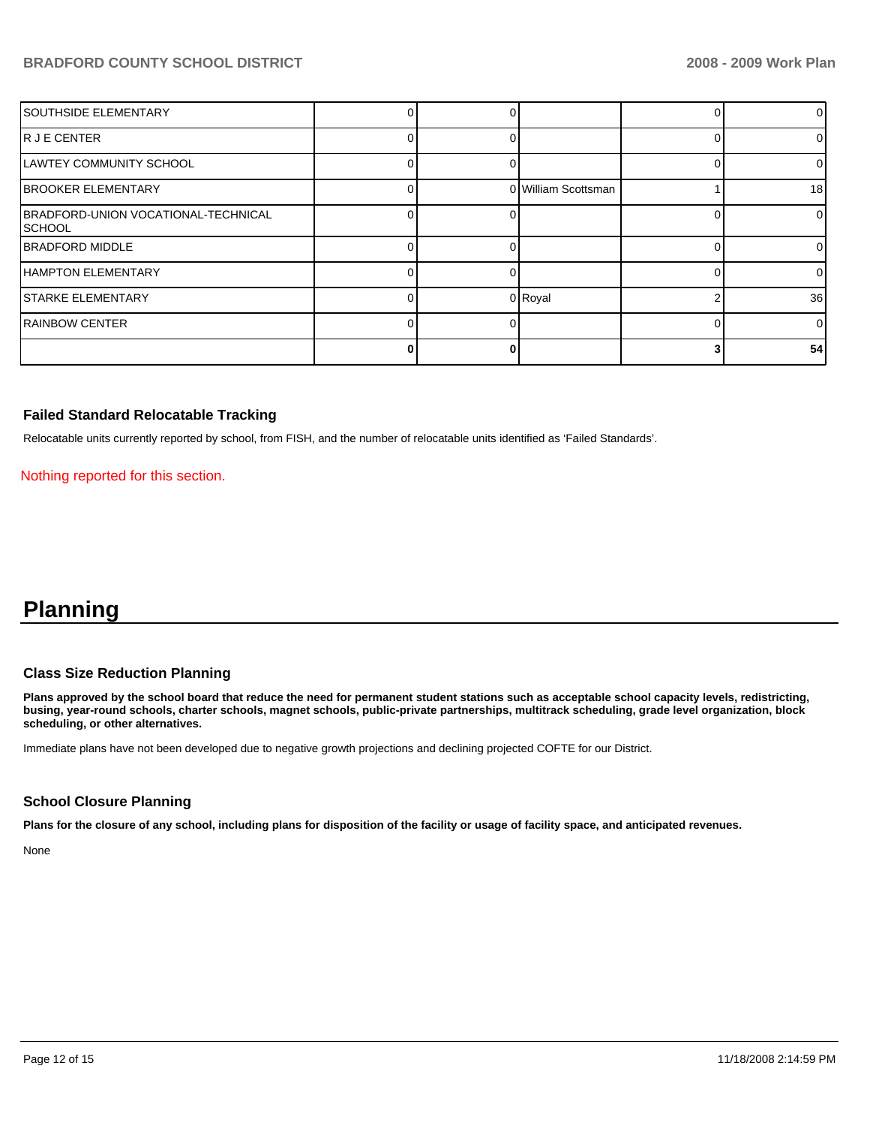| <b>SOUTHSIDE ELEMENTARY</b>                    |  |                     | 01              |
|------------------------------------------------|--|---------------------|-----------------|
| IR JE CENTER                                   |  |                     | 0               |
| LAWTEY COMMUNITY SCHOOL                        |  |                     | 0               |
| <b>BROOKER ELEMENTARY</b>                      |  | 0 William Scottsman | 18 <sup>l</sup> |
| BRADFORD-UNION VOCATIONAL-TECHNICAL<br>ISCHOOL |  |                     | $\overline{0}$  |
| <b>IBRADFORD MIDDLE</b>                        |  |                     | 0               |
| <b>HAMPTON ELEMENTARY</b>                      |  |                     | 0               |
| <b>STARKE ELEMENTARY</b>                       |  | 0 Royal             | 36              |
| <b>RAINBOW CENTER</b>                          |  |                     | $\Omega$        |
|                                                |  |                     | 54              |

### **Failed Standard Relocatable Tracking**

Relocatable units currently reported by school, from FISH, and the number of relocatable units identified as 'Failed Standards'.

Nothing reported for this section.

# **Planning**

# **Class Size Reduction Planning**

**Plans approved by the school board that reduce the need for permanent student stations such as acceptable school capacity levels, redistricting, busing, year-round schools, charter schools, magnet schools, public-private partnerships, multitrack scheduling, grade level organization, block scheduling, or other alternatives.** 

Immediate plans have not been developed due to negative growth projections and declining projected COFTE for our District.

#### **School Closure Planning**

**Plans for the closure of any school, including plans for disposition of the facility or usage of facility space, and anticipated revenues.** 

None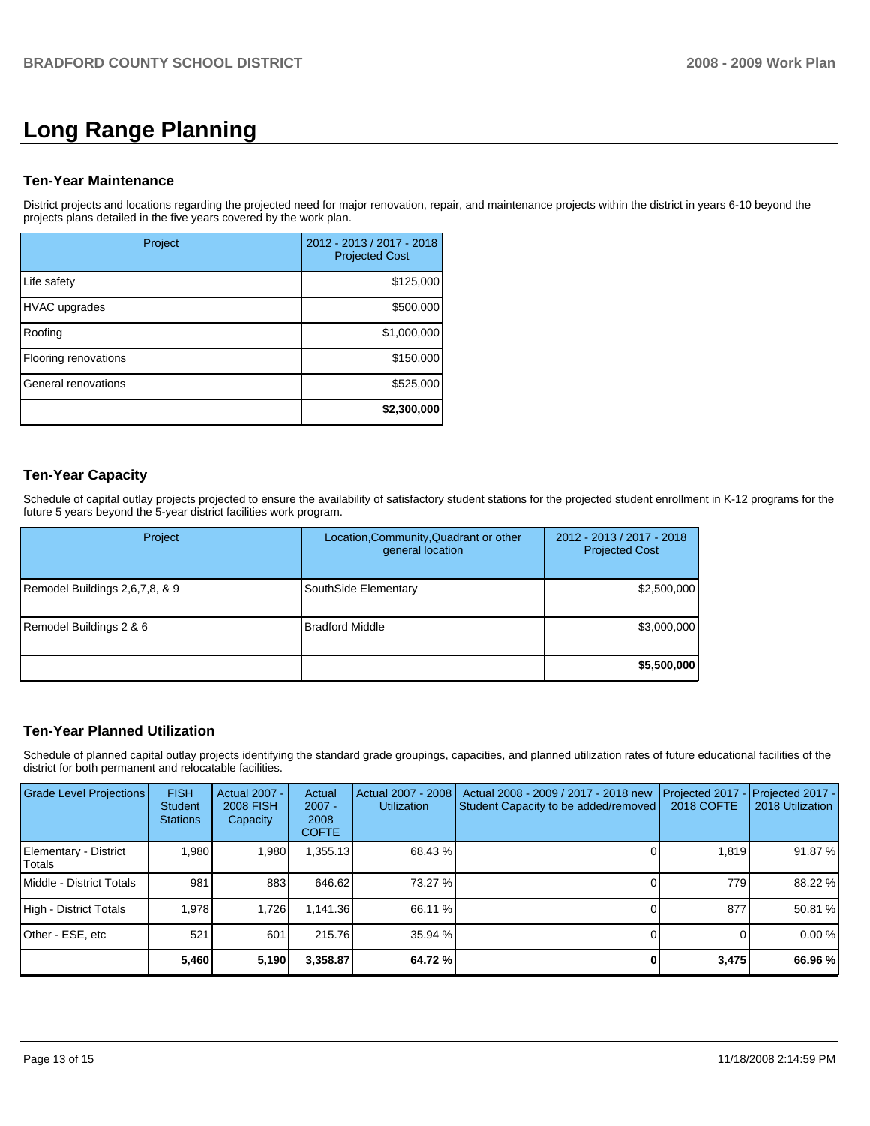# **Long Range Planning**

#### **Ten-Year Maintenance**

District projects and locations regarding the projected need for major renovation, repair, and maintenance projects within the district in years 6-10 beyond the projects plans detailed in the five years covered by the work plan.

| Project              | 2012 - 2013 / 2017 - 2018<br><b>Projected Cost</b> |
|----------------------|----------------------------------------------------|
| Life safety          | \$125,000                                          |
| <b>HVAC</b> upgrades | \$500,000                                          |
| Roofing              | \$1,000,000                                        |
| Flooring renovations | \$150,000                                          |
| General renovations  | \$525,000                                          |
|                      | \$2,300,000                                        |

# **Ten-Year Capacity**

Schedule of capital outlay projects projected to ensure the availability of satisfactory student stations for the projected student enrollment in K-12 programs for the future 5 years beyond the 5-year district facilities work program.

| Project                        | Location, Community, Quadrant or other<br>general location | 2012 - 2013 / 2017 - 2018<br><b>Projected Cost</b> |
|--------------------------------|------------------------------------------------------------|----------------------------------------------------|
| Remodel Buildings 2,6,7,8, & 9 | SouthSide Elementary                                       | \$2,500,000                                        |
| Remodel Buildings 2 & 6        | <b>Bradford Middle</b>                                     | \$3,000,000                                        |
|                                |                                                            | \$5,500,000                                        |

#### **Ten-Year Planned Utilization**

Schedule of planned capital outlay projects identifying the standard grade groupings, capacities, and planned utilization rates of future educational facilities of the district for both permanent and relocatable facilities.

| Grade Level Projections         | <b>FISH</b><br>Student<br><b>Stations</b> | <b>Actual 2007 -</b><br><b>2008 FISH</b><br>Capacity | Actual<br>$2007 -$<br>2008<br><b>COFTE</b> | Actual 2007 - 2008<br><b>Utilization</b> | Actual 2008 - 2009 / 2017 - 2018 new<br>Student Capacity to be added/removed | Projected 2017<br><b>2018 COFTE</b> | Projected 2017 -<br>2018 Utilization |
|---------------------------------|-------------------------------------------|------------------------------------------------------|--------------------------------------------|------------------------------------------|------------------------------------------------------------------------------|-------------------------------------|--------------------------------------|
| Elementary - District<br>Totals | 1,980                                     | 1,980                                                | 1,355.13                                   | 68.43 %                                  |                                                                              | 1,819                               | 91.87 %                              |
| Middle - District Totals        | 981                                       | 883                                                  | 646.62                                     | 73.27 %                                  |                                                                              | 779                                 | 88.22 %                              |
| High - District Totals          | 1.978                                     | 1,726                                                | 1.141.36                                   | 66.11 %                                  |                                                                              | 877                                 | 50.81 %                              |
| Other - ESE, etc                | 521                                       | 601                                                  | 215.76                                     | 35.94 %                                  |                                                                              |                                     | 0.00%                                |
|                                 | 5,460                                     | 5,190                                                | 3,358.87                                   | 64.72 %                                  |                                                                              | 3,475                               | 66.96 %                              |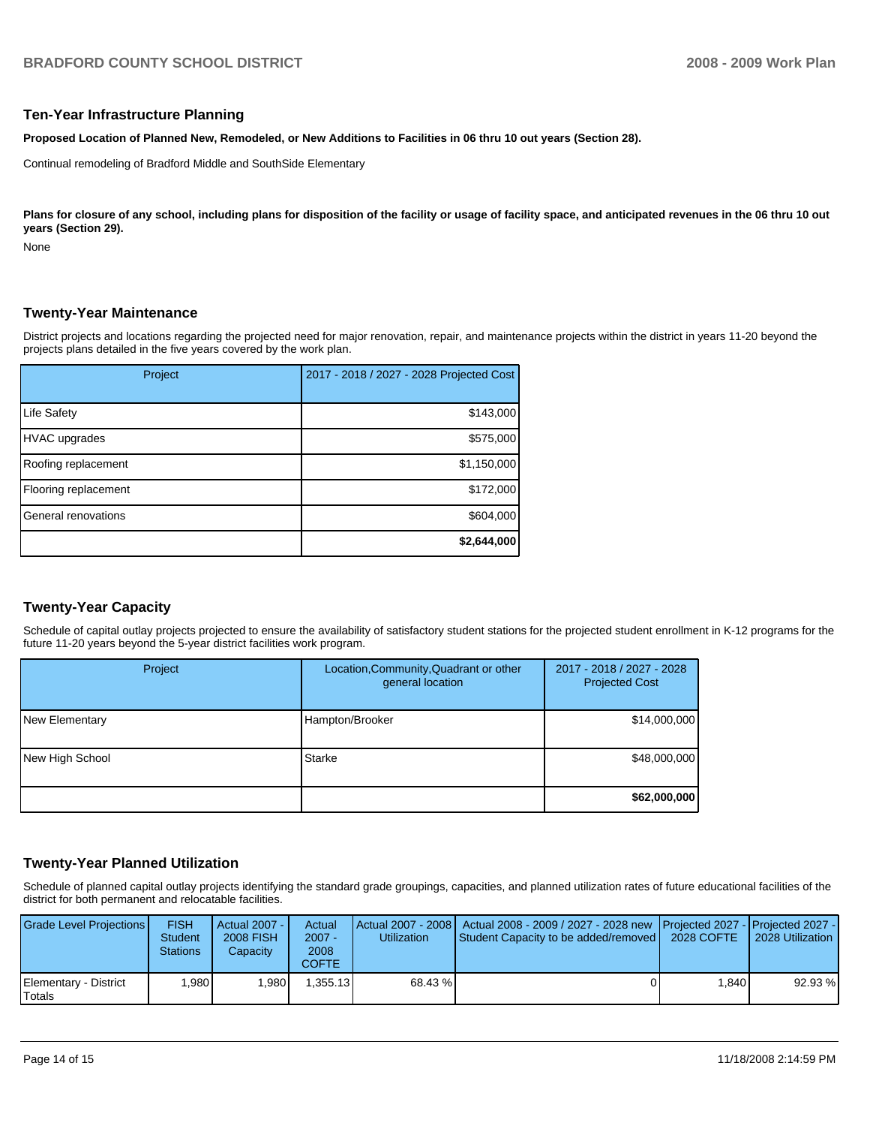#### **Ten-Year Infrastructure Planning**

**Proposed Location of Planned New, Remodeled, or New Additions to Facilities in 06 thru 10 out years (Section 28).** 

Continual remodeling of Bradford Middle and SouthSide Elementary

Plans for closure of any school, including plans for disposition of the facility or usage of facility space, and anticipated revenues in the 06 thru 10 out **years (Section 29).** 

None

### **Twenty-Year Maintenance**

District projects and locations regarding the projected need for major renovation, repair, and maintenance projects within the district in years 11-20 beyond the projects plans detailed in the five years covered by the work plan.

| Project              | 2017 - 2018 / 2027 - 2028 Projected Cost |
|----------------------|------------------------------------------|
| <b>Life Safety</b>   | \$143,000                                |
| <b>HVAC</b> upgrades | \$575,000                                |
| Roofing replacement  | \$1,150,000                              |
| Flooring replacement | \$172,000                                |
| General renovations  | \$604,000                                |
|                      | \$2,644,000                              |

# **Twenty-Year Capacity**

Schedule of capital outlay projects projected to ensure the availability of satisfactory student stations for the projected student enrollment in K-12 programs for the future 11-20 years beyond the 5-year district facilities work program.

| Project         | Location, Community, Quadrant or other<br>general location | 2017 - 2018 / 2027 - 2028<br><b>Projected Cost</b> |
|-----------------|------------------------------------------------------------|----------------------------------------------------|
| New Elementary  | Hampton/Brooker                                            | \$14,000,000                                       |
| New High School | Starke                                                     | \$48,000,000                                       |
|                 |                                                            | \$62,000,000                                       |

#### **Twenty-Year Planned Utilization**

Schedule of planned capital outlay projects identifying the standard grade groupings, capacities, and planned utilization rates of future educational facilities of the district for both permanent and relocatable facilities.

| <b>Grade Level Projections</b>  | <b>FISH</b><br><b>Student</b><br><b>Stations</b> | Actual 2007 - I<br><b>2008 FISH</b><br>Capacity | Actual<br>$2007 -$<br>2008<br><b>COFTE</b> | <b>Utilization</b> | Actual 2007 - 2008   Actual 2008 - 2009 / 2027 - 2028 new   Projected 2027 -   Projected 2027 -  <br>Student Capacity to be added/removed   2028 COFTE |       | 2028 Utilization |
|---------------------------------|--------------------------------------------------|-------------------------------------------------|--------------------------------------------|--------------------|--------------------------------------------------------------------------------------------------------------------------------------------------------|-------|------------------|
| Elementary - District<br>Totals | .980                                             | 1.980                                           | .355.13                                    | 68.43 %            |                                                                                                                                                        | 1.840 | 92.93 %          |